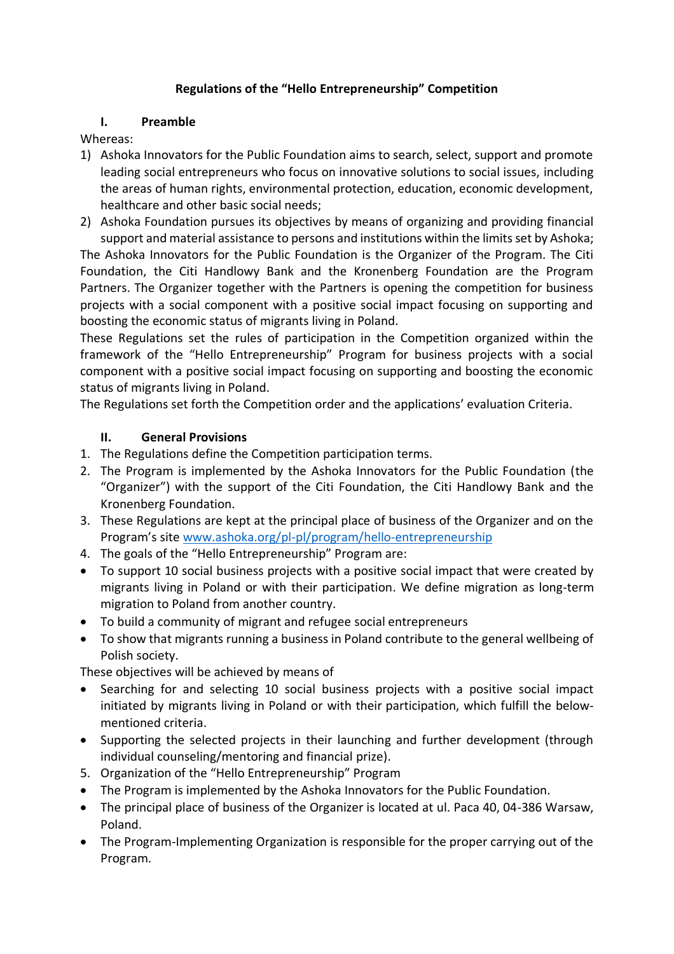## **Regulations of the "Hello Entrepreneurship" Competition**

#### **I. Preamble**

#### Whereas:

- 1) Ashoka Innovators for the Public Foundation aims to search, select, support and promote leading social entrepreneurs who focus on innovative solutions to social issues, including the areas of human rights, environmental protection, education, economic development, healthcare and other basic social needs;
- 2) Ashoka Foundation pursues its objectives by means of organizing and providing financial support and material assistance to persons and institutions within the limits set by Ashoka;

The Ashoka Innovators for the Public Foundation is the Organizer of the Program. The Citi Foundation, the Citi Handlowy Bank and the Kronenberg Foundation are the Program Partners. The Organizer together with the Partners is opening the competition for business projects with a social component with a positive social impact focusing on supporting and boosting the economic status of migrants living in Poland.

These Regulations set the rules of participation in the Competition organized within the framework of the "Hello Entrepreneurship" Program for business projects with a social component with a positive social impact focusing on supporting and boosting the economic status of migrants living in Poland.

The Regulations set forth the Competition order and the applications' evaluation Criteria.

## **II. General Provisions**

- 1. The Regulations define the Competition participation terms.
- 2. The Program is implemented by the Ashoka Innovators for the Public Foundation (the "Organizer") with the support of the Citi Foundation, the Citi Handlowy Bank and the Kronenberg Foundation.
- 3. These Regulations are kept at the principal place of business of the Organizer and on the Program's site [www.ashoka.org/pl-pl/program/hello-entrepreneurship](http://www.ashoka.org/pl-pl/program/hello-entrepreneurship)
- 4. The goals of the "Hello Entrepreneurship" Program are:
- To support 10 social business projects with a positive social impact that were created by migrants living in Poland or with their participation. We define migration as long-term migration to Poland from another country.
- To build a community of migrant and refugee social entrepreneurs
- To show that migrants running a business in Poland contribute to the general wellbeing of Polish society.

These objectives will be achieved by means of

- Searching for and selecting 10 social business projects with a positive social impact initiated by migrants living in Poland or with their participation, which fulfill the belowmentioned criteria.
- Supporting the selected projects in their launching and further development (through individual counseling/mentoring and financial prize).
- 5. Organization of the "Hello Entrepreneurship" Program
- The Program is implemented by the Ashoka Innovators for the Public Foundation.
- The principal place of business of the Organizer is located at ul. Paca 40, 04-386 Warsaw, Poland.
- The Program-Implementing Organization is responsible for the proper carrying out of the Program.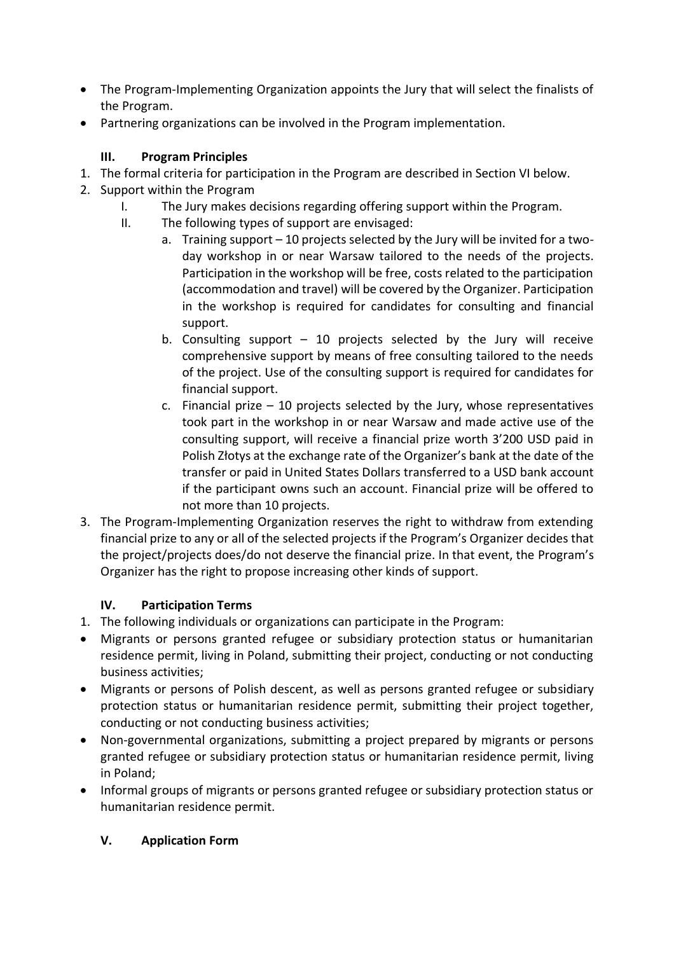- The Program-Implementing Organization appoints the Jury that will select the finalists of the Program.
- Partnering organizations can be involved in the Program implementation.

# **III. Program Principles**

- 1. The formal criteria for participation in the Program are described in Section VI below.
- 2. Support within the Program
	- I. The Jury makes decisions regarding offering support within the Program.
	- II. The following types of support are envisaged:
		- a. Training support 10 projects selected by the Jury will be invited for a twoday workshop in or near Warsaw tailored to the needs of the projects. Participation in the workshop will be free, costs related to the participation (accommodation and travel) will be covered by the Organizer. Participation in the workshop is required for candidates for consulting and financial support.
		- b. Consulting support  $-10$  projects selected by the Jury will receive comprehensive support by means of free consulting tailored to the needs of the project. Use of the consulting support is required for candidates for financial support.
		- c. Financial prize  $-10$  projects selected by the Jury, whose representatives took part in the workshop in or near Warsaw and made active use of the consulting support, will receive a financial prize worth 3'200 USD paid in Polish Złotys at the exchange rate of the Organizer's bank at the date of the transfer or paid in United States Dollars transferred to a USD bank account if the participant owns such an account. Financial prize will be offered to not more than 10 projects.
- 3. The Program-Implementing Organization reserves the right to withdraw from extending financial prize to any or all of the selected projects if the Program's Organizer decides that the project/projects does/do not deserve the financial prize. In that event, the Program's Organizer has the right to propose increasing other kinds of support.

## **IV. Participation Terms**

- 1. The following individuals or organizations can participate in the Program:
- Migrants or persons granted refugee or subsidiary protection status or humanitarian residence permit, living in Poland, submitting their project, conducting or not conducting business activities;
- Migrants or persons of Polish descent, as well as persons granted refugee or subsidiary protection status or humanitarian residence permit, submitting their project together, conducting or not conducting business activities;
- Non-governmental organizations, submitting a project prepared by migrants or persons granted refugee or subsidiary protection status or humanitarian residence permit, living in Poland;
- Informal groups of migrants or persons granted refugee or subsidiary protection status or humanitarian residence permit.

## **V. Application Form**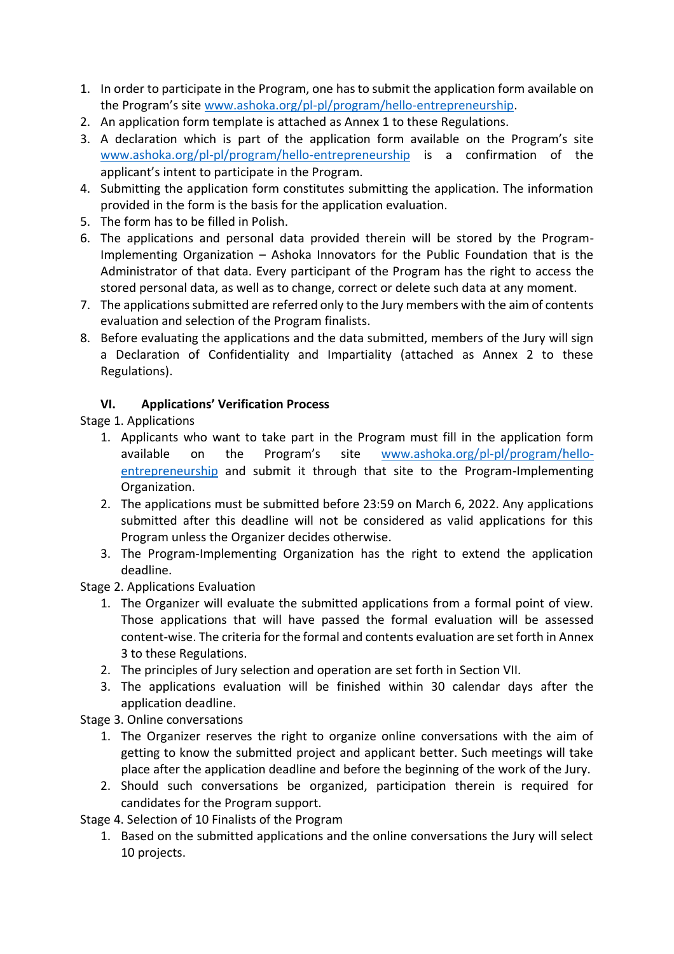- 1. In order to participate in the Program, one has to submit the application form available on the Program's site [www.ashoka.org/pl-pl/program/hello-entrepreneurship.](http://www.ashoka.org/pl-pl/program/hello-entrepreneurship)
- 2. An application form template is attached as Annex 1 to these Regulations.
- 3. A declaration which is part of the application form available on the Program's site [www.ashoka.org/pl-pl/program/hello-entrepreneurship](http://www.ashoka.org/pl-pl/program/hello-entrepreneurship) is a confirmation of the applicant's intent to participate in the Program.
- 4. Submitting the application form constitutes submitting the application. The information provided in the form is the basis for the application evaluation.
- 5. The form has to be filled in Polish.
- 6. The applications and personal data provided therein will be stored by the Program-Implementing Organization – Ashoka Innovators for the Public Foundation that is the Administrator of that data. Every participant of the Program has the right to access the stored personal data, as well as to change, correct or delete such data at any moment.
- 7. The applications submitted are referred only to the Jury members with the aim of contents evaluation and selection of the Program finalists.
- 8. Before evaluating the applications and the data submitted, members of the Jury will sign a Declaration of Confidentiality and Impartiality (attached as Annex 2 to these Regulations).

# **VI. Applications' Verification Process**

Stage 1. Applications

- 1. Applicants who want to take part in the Program must fill in the application form available on the Program's site [www.ashoka.org/pl-pl/program/hello](http://www.ashoka.org/pl-pl/program/hello-entrepreneurship)[entrepreneurship](http://www.ashoka.org/pl-pl/program/hello-entrepreneurship) and submit it through that site to the Program-Implementing Organization.
- 2. The applications must be submitted before 23:59 on March 6, 2022. Any applications submitted after this deadline will not be considered as valid applications for this Program unless the Organizer decides otherwise.
- 3. The Program-Implementing Organization has the right to extend the application deadline.

Stage 2. Applications Evaluation

- 1. The Organizer will evaluate the submitted applications from a formal point of view. Those applications that will have passed the formal evaluation will be assessed content-wise. The criteria for the formal and contents evaluation are set forth in Annex 3 to these Regulations.
- 2. The principles of Jury selection and operation are set forth in Section VII.
- 3. The applications evaluation will be finished within 30 calendar days after the application deadline.

Stage 3. Online conversations

- 1. The Organizer reserves the right to organize online conversations with the aim of getting to know the submitted project and applicant better. Such meetings will take place after the application deadline and before the beginning of the work of the Jury.
- 2. Should such conversations be organized, participation therein is required for candidates for the Program support.

Stage 4. Selection of 10 Finalists of the Program

1. Based on the submitted applications and the online conversations the Jury will select 10 projects.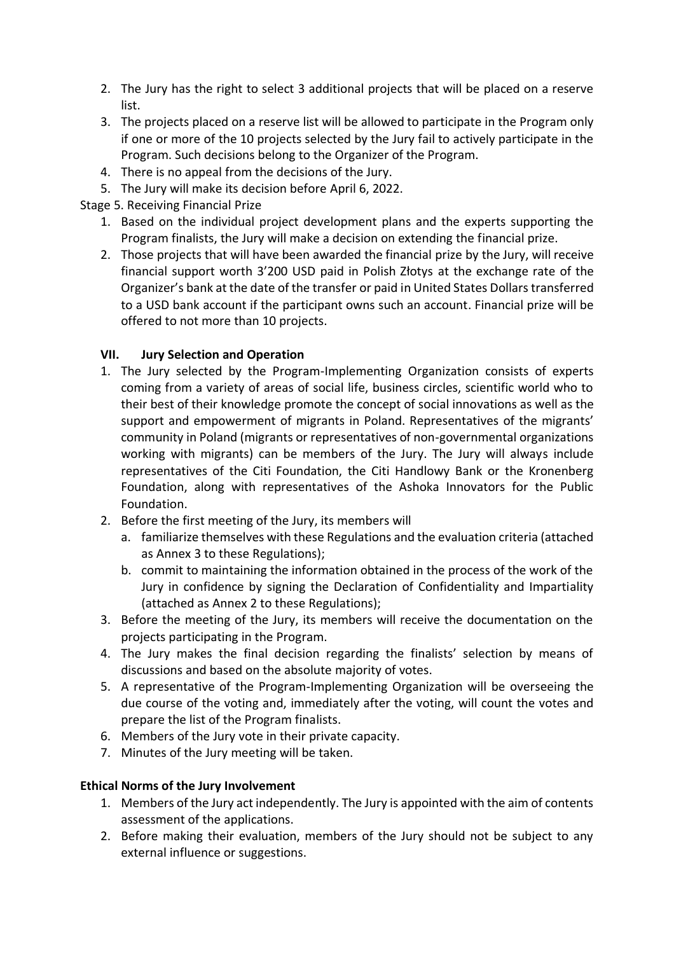- 2. The Jury has the right to select 3 additional projects that will be placed on a reserve list.
- 3. The projects placed on a reserve list will be allowed to participate in the Program only if one or more of the 10 projects selected by the Jury fail to actively participate in the Program. Such decisions belong to the Organizer of the Program.
- 4. There is no appeal from the decisions of the Jury.
- 5. The Jury will make its decision before April 6, 2022.

Stage 5. Receiving Financial Prize

- 1. Based on the individual project development plans and the experts supporting the Program finalists, the Jury will make a decision on extending the financial prize.
- 2. Those projects that will have been awarded the financial prize by the Jury, will receive financial support worth 3'200 USD paid in Polish Złotys at the exchange rate of the Organizer's bank at the date of the transfer or paid in United States Dollars transferred to a USD bank account if the participant owns such an account. Financial prize will be offered to not more than 10 projects.

## **VII. Jury Selection and Operation**

- 1. The Jury selected by the Program-Implementing Organization consists of experts coming from a variety of areas of social life, business circles, scientific world who to their best of their knowledge promote the concept of social innovations as well as the support and empowerment of migrants in Poland. Representatives of the migrants' community in Poland (migrants or representatives of non-governmental organizations working with migrants) can be members of the Jury. The Jury will always include representatives of the Citi Foundation, the Citi Handlowy Bank or the Kronenberg Foundation, along with representatives of the Ashoka Innovators for the Public Foundation.
- 2. Before the first meeting of the Jury, its members will
	- a. familiarize themselves with these Regulations and the evaluation criteria (attached as Annex 3 to these Regulations);
	- b. commit to maintaining the information obtained in the process of the work of the Jury in confidence by signing the Declaration of Confidentiality and Impartiality (attached as Annex 2 to these Regulations);
- 3. Before the meeting of the Jury, its members will receive the documentation on the projects participating in the Program.
- 4. The Jury makes the final decision regarding the finalists' selection by means of discussions and based on the absolute majority of votes.
- 5. A representative of the Program-Implementing Organization will be overseeing the due course of the voting and, immediately after the voting, will count the votes and prepare the list of the Program finalists.
- 6. Members of the Jury vote in their private capacity.
- 7. Minutes of the Jury meeting will be taken.

#### **Ethical Norms of the Jury Involvement**

- 1. Members of the Jury act independently. The Jury is appointed with the aim of contents assessment of the applications.
- 2. Before making their evaluation, members of the Jury should not be subject to any external influence or suggestions.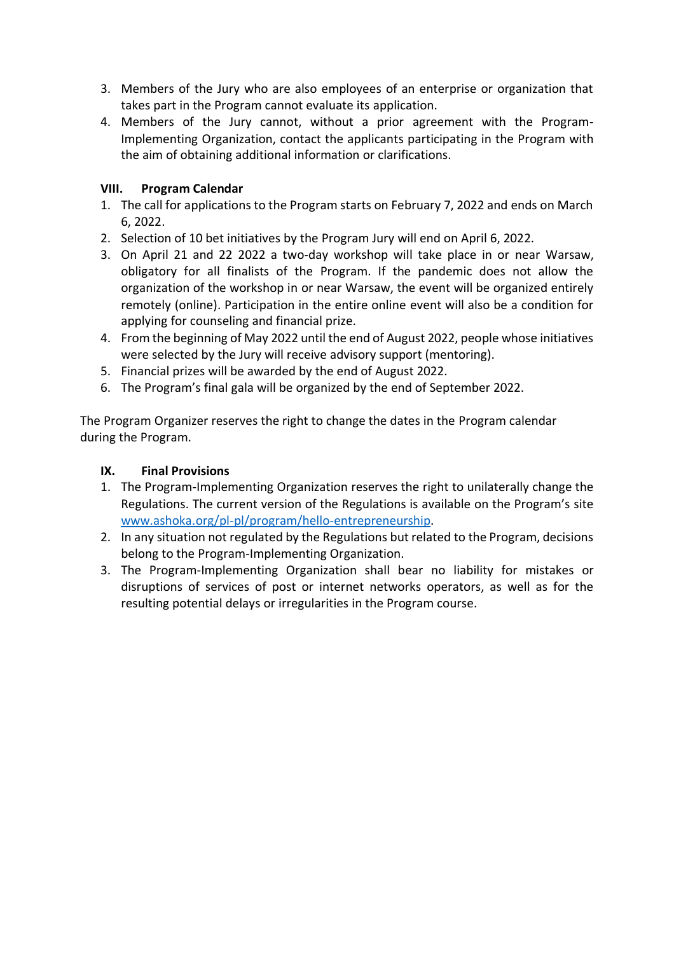- 3. Members of the Jury who are also employees of an enterprise or organization that takes part in the Program cannot evaluate its application.
- 4. Members of the Jury cannot, without a prior agreement with the Program-Implementing Organization, contact the applicants participating in the Program with the aim of obtaining additional information or clarifications.

### **VIII. Program Calendar**

- 1. The call for applications to the Program starts on February 7, 2022 and ends on March 6, 2022.
- 2. Selection of 10 bet initiatives by the Program Jury will end on April 6, 2022.
- 3. On April 21 and 22 2022 a two-day workshop will take place in or near Warsaw, obligatory for all finalists of the Program. If the pandemic does not allow the organization of the workshop in or near Warsaw, the event will be organized entirely remotely (online). Participation in the entire online event will also be a condition for applying for counseling and financial prize.
- 4. From the beginning of May 2022 until the end of August 2022, people whose initiatives were selected by the Jury will receive advisory support (mentoring).
- 5. Financial prizes will be awarded by the end of August 2022.
- 6. The Program's final gala will be organized by the end of September 2022.

The Program Organizer reserves the right to change the dates in the Program calendar during the Program.

#### **IX. Final Provisions**

- 1. The Program-Implementing Organization reserves the right to unilaterally change the Regulations. The current version of the Regulations is available on the Program's site [www.ashoka.org/pl-pl/program/hello-entrepreneurship.](http://www.ashoka.org/pl-pl/program/hello-entrepreneurship)
- 2. In any situation not regulated by the Regulations but related to the Program, decisions belong to the Program-Implementing Organization.
- 3. The Program-Implementing Organization shall bear no liability for mistakes or disruptions of services of post or internet networks operators, as well as for the resulting potential delays or irregularities in the Program course.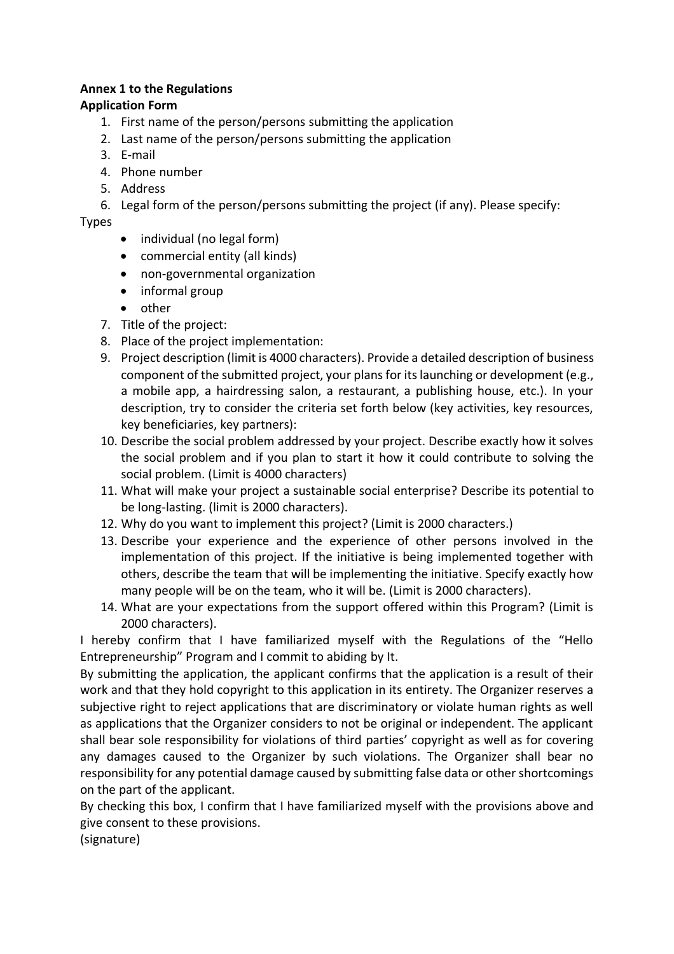#### **Annex 1 to the Regulations**

#### **Application Form**

- 1. First name of the person/persons submitting the application
- 2. Last name of the person/persons submitting the application
- 3. E-mail
- 4. Phone number
- 5. Address
- 6. Legal form of the person/persons submitting the project (if any). Please specify:

#### Types

- individual (no legal form)
- commercial entity (all kinds)
- non-governmental organization
- informal group
- other
- 7. Title of the project:
- 8. Place of the project implementation:
- 9. Project description (limit is 4000 characters). Provide a detailed description of business component of the submitted project, your plans for its launching or development (e.g., a mobile app, a hairdressing salon, a restaurant, a publishing house, etc.). In your description, try to consider the criteria set forth below (key activities, key resources, key beneficiaries, key partners):
- 10. Describe the social problem addressed by your project. Describe exactly how it solves the social problem and if you plan to start it how it could contribute to solving the social problem. (Limit is 4000 characters)
- 11. What will make your project a sustainable social enterprise? Describe its potential to be long-lasting. (limit is 2000 characters).
- 12. Why do you want to implement this project? (Limit is 2000 characters.)
- 13. Describe your experience and the experience of other persons involved in the implementation of this project. If the initiative is being implemented together with others, describe the team that will be implementing the initiative. Specify exactly how many people will be on the team, who it will be. (Limit is 2000 characters).
- 14. What are your expectations from the support offered within this Program? (Limit is 2000 characters).

I hereby confirm that I have familiarized myself with the Regulations of the "Hello Entrepreneurship" Program and I commit to abiding by It.

By submitting the application, the applicant confirms that the application is a result of their work and that they hold copyright to this application in its entirety. The Organizer reserves a subjective right to reject applications that are discriminatory or violate human rights as well as applications that the Organizer considers to not be original or independent. The applicant shall bear sole responsibility for violations of third parties' copyright as well as for covering any damages caused to the Organizer by such violations. The Organizer shall bear no responsibility for any potential damage caused by submitting false data or other shortcomings on the part of the applicant.

By checking this box, I confirm that I have familiarized myself with the provisions above and give consent to these provisions.

(signature)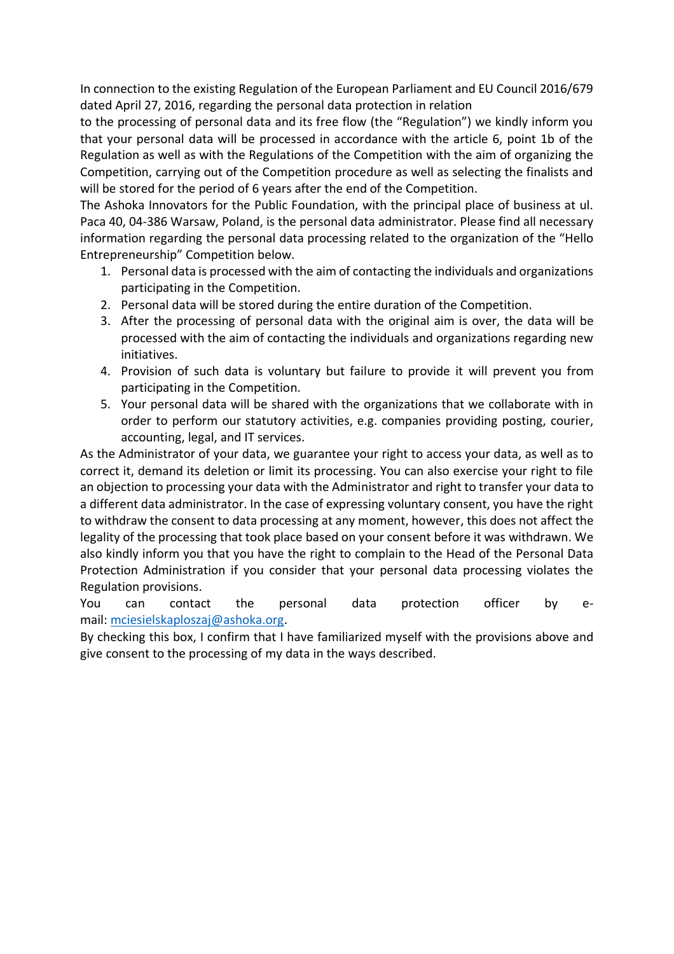In connection to the existing Regulation of the European Parliament and EU Council 2016/679 dated April 27, 2016, regarding the personal data protection in relation

to the processing of personal data and its free flow (the "Regulation") we kindly inform you that your personal data will be processed in accordance with the article 6, point 1b of the Regulation as well as with the Regulations of the Competition with the aim of organizing the Competition, carrying out of the Competition procedure as well as selecting the finalists and will be stored for the period of 6 years after the end of the Competition.

The Ashoka Innovators for the Public Foundation, with the principal place of business at ul. Paca 40, 04-386 Warsaw, Poland, is the personal data administrator. Please find all necessary information regarding the personal data processing related to the organization of the "Hello Entrepreneurship" Competition below.

- 1. Personal data is processed with the aim of contacting the individuals and organizations participating in the Competition.
- 2. Personal data will be stored during the entire duration of the Competition.
- 3. After the processing of personal data with the original aim is over, the data will be processed with the aim of contacting the individuals and organizations regarding new initiatives.
- 4. Provision of such data is voluntary but failure to provide it will prevent you from participating in the Competition.
- 5. Your personal data will be shared with the organizations that we collaborate with in order to perform our statutory activities, e.g. companies providing posting, courier, accounting, legal, and IT services.

As the Administrator of your data, we guarantee your right to access your data, as well as to correct it, demand its deletion or limit its processing. You can also exercise your right to file an objection to processing your data with the Administrator and right to transfer your data to a different data administrator. In the case of expressing voluntary consent, you have the right to withdraw the consent to data processing at any moment, however, this does not affect the legality of the processing that took place based on your consent before it was withdrawn. We also kindly inform you that you have the right to complain to the Head of the Personal Data Protection Administration if you consider that your personal data processing violates the Regulation provisions.

You can contact the personal data protection officer by email: [mciesielskaploszaj@ashoka.org.](mailto:mciesielskaploszaj@ashoka.org)

By checking this box, I confirm that I have familiarized myself with the provisions above and give consent to the processing of my data in the ways described.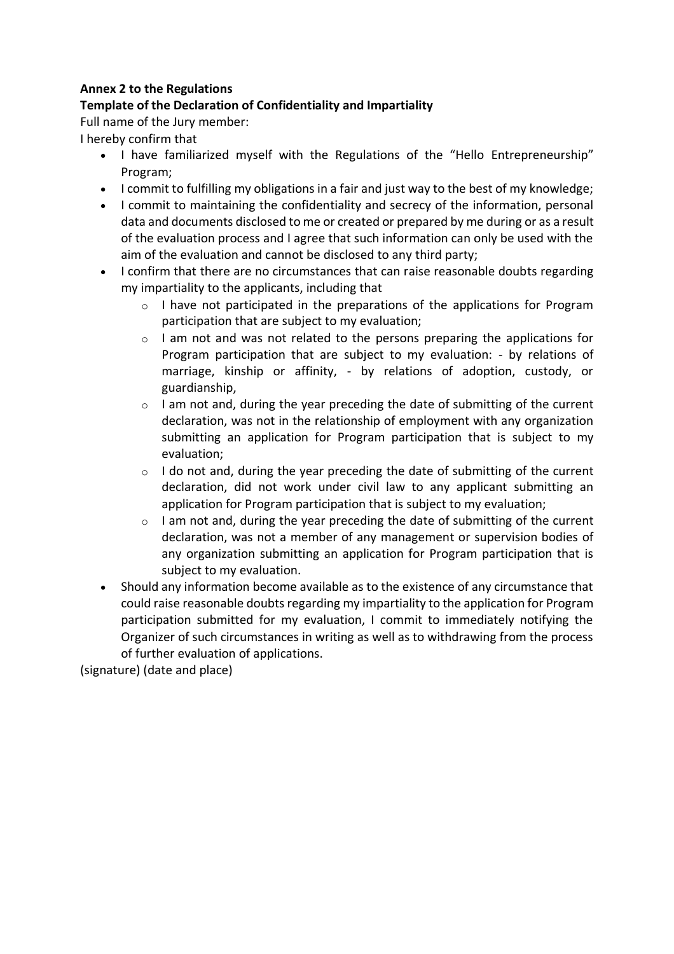#### **Annex 2 to the Regulations**

## **Template of the Declaration of Confidentiality and Impartiality**

Full name of the Jury member:

I hereby confirm that

- I have familiarized myself with the Regulations of the "Hello Entrepreneurship" Program;
- I commit to fulfilling my obligations in a fair and just way to the best of my knowledge;
- I commit to maintaining the confidentiality and secrecy of the information, personal data and documents disclosed to me or created or prepared by me during or as a result of the evaluation process and I agree that such information can only be used with the aim of the evaluation and cannot be disclosed to any third party;
- I confirm that there are no circumstances that can raise reasonable doubts regarding my impartiality to the applicants, including that
	- $\circ$  I have not participated in the preparations of the applications for Program participation that are subject to my evaluation;
	- o I am not and was not related to the persons preparing the applications for Program participation that are subject to my evaluation: - by relations of marriage, kinship or affinity, - by relations of adoption, custody, or guardianship,
	- o I am not and, during the year preceding the date of submitting of the current declaration, was not in the relationship of employment with any organization submitting an application for Program participation that is subject to my evaluation;
	- $\circ$  I do not and, during the year preceding the date of submitting of the current declaration, did not work under civil law to any applicant submitting an application for Program participation that is subject to my evaluation;
	- $\circ$  I am not and, during the year preceding the date of submitting of the current declaration, was not a member of any management or supervision bodies of any organization submitting an application for Program participation that is subject to my evaluation.
- Should any information become available as to the existence of any circumstance that could raise reasonable doubts regarding my impartiality to the application for Program participation submitted for my evaluation, I commit to immediately notifying the Organizer of such circumstances in writing as well as to withdrawing from the process of further evaluation of applications.

(signature) (date and place)